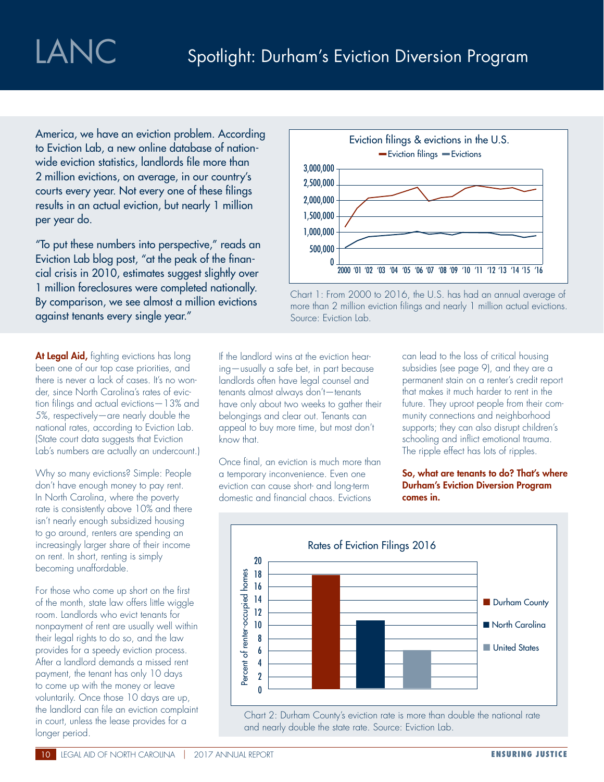America, we have an eviction problem. According to Eviction Lab, a new online database of nationwide eviction statistics, landlords file more than 2 million evictions, on average, in our country's courts every year. Not every one of these filings results in an actual eviction, but nearly 1 million per year do.

"To put these numbers into perspective," reads an Eviction Lab blog post, "at the peak of the financial crisis in 2010, estimates suggest slightly over 1 million foreclosures were completed nationally. By comparison, we see almost a million evictions against tenants every single year."





At Legal Aid, fighting evictions has long been one of our top case priorities, and there is never a lack of cases. It's no wonder, since North Carolina's rates of eviction filings and actual evictions—13% and 5%, respectively—are nearly double the national rates, according to Eviction Lab. (State court data suggests that Eviction Lab's numbers are actually an undercount.)

Why so many evictions? Simple: People don't have enough money to pay rent. In North Carolina, where the poverty rate is consistently above 10% and there isn't nearly enough subsidized housing to go around, renters are spending an increasingly larger share of their income on rent. In short, renting is simply becoming unaffordable.

For those who come up short on the first of the month, state law offers little wiggle room. Landlords who evict tenants for nonpayment of rent are usually well within their legal rights to do so, and the law provides for a speedy eviction process. After a landlord demands a missed rent payment, the tenant has only 10 days to come up with the money or leave voluntarily. Once those 10 days are up, the landlord can file an eviction complaint in court, unless the lease provides for a longer period.

If the landlord wins at the eviction hearing—usually a safe bet, in part because landlords often have legal counsel and tenants almost always don't—tenants have only about two weeks to gather their belongings and clear out. Tenants can appeal to buy more time, but most don't know that.

Once final, an eviction is much more than a temporary inconvenience. Even one eviction can cause short- and long-term domestic and financial chaos. Evictions

can lead to the loss of critical housing subsidies (see page 9), and they are a permanent stain on a renter's credit report that makes it much harder to rent in the future. They uproot people from their community connections and neighborhood supports; they can also disrupt children's schooling and inflict emotional trauma. The ripple effect has lots of ripples.

## So, what are tenants to do? That's where Durham's Eviction Diversion Program comes in.



and nearly double the state rate. Source: Eviction Lab.